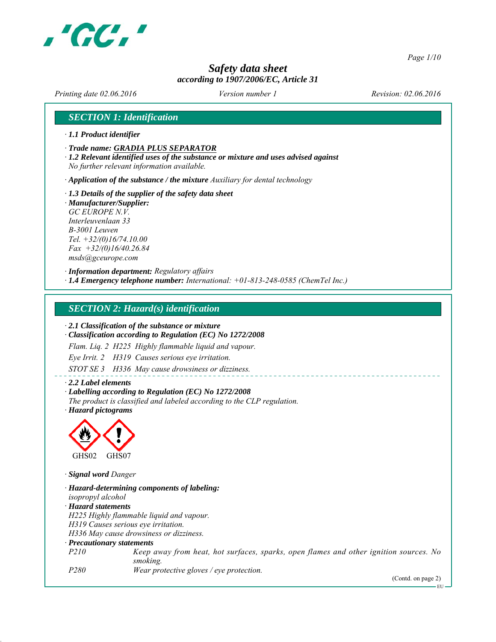

*Page 1/10*

# *Safety data sheet according to 1907/2006/EC, Article 31*

*Printing date 02.06.2016 Revision: 02.06.2016 Version number 1*

## *SECTION 1: Identification*

- *∙ 1.1 Product identifier*
- *∙ Trade name: GRADIA PLUS SEPARATOR*
- *∙ 1.2 Relevant identified uses of the substance or mixture and uses advised against No further relevant information available.*
- *∙ Application of the substance / the mixture Auxiliary for dental technology*
- *∙ 1.3 Details of the supplier of the safety data sheet*
- *∙ Manufacturer/Supplier: GC EUROPE N.V. Interleuvenlaan 33 B-3001 Leuven Tel. +32/(0)16/74.10.00 Fax +32/(0)16/40.26.84 msds@gceurope.com*
- *∙ Information department: Regulatory affairs ∙ 1.4 Emergency telephone number: International: +01-813-248-0585 (ChemTel Inc.)*

#### *SECTION 2: Hazard(s) identification*

*∙ 2.1 Classification of the substance or mixture*

*∙ Classification according to Regulation (EC) No 1272/2008*

*Flam. Liq. 2 H225 Highly flammable liquid and vapour.*

*Eye Irrit. 2 H319 Causes serious eye irritation.*

*STOT SE 3 H336 May cause drowsiness or dizziness.*

*∙ 2.2 Label elements*

- *∙ Labelling according to Regulation (EC) No 1272/2008*
- *The product is classified and labeled according to the CLP regulation.*
- *∙ Hazard pictograms*



*∙ Signal word Danger*

*∙ Hazard-determining components of labeling: isopropyl alcohol ∙ Hazard statements H225 Highly flammable liquid and vapour. H319 Causes serious eye irritation. H336 May cause drowsiness or dizziness. ∙ Precautionary statements P210 Keep away from heat, hot surfaces, sparks, open flames and other ignition sources. No smoking. P280 Wear protective gloves / eye protection.*

(Contd. on page 2)

EU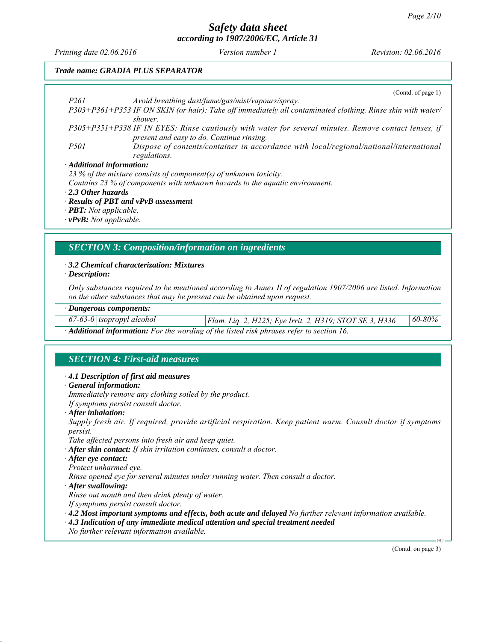*Printing date 02.06.2016 Revision: 02.06.2016 Version number 1*

#### *Trade name: GRADIA PLUS SEPARATOR*

(Contd. of page 1) *P261 Avoid breathing dust/fume/gas/mist/vapours/spray. P303+P361+P353 IF ON SKIN (or hair): Take off immediately all contaminated clothing. Rinse skin with water/ shower. P305+P351+P338 IF IN EYES: Rinse cautiously with water for several minutes. Remove contact lenses, if present and easy to do. Continue rinsing. P501 Dispose of contents/container in accordance with local/regional/national/international regulations. ∙ Additional information: 23 % of the mixture consists of component(s) of unknown toxicity. Contains 23 % of components with unknown hazards to the aquatic environment. ∙ 2.3 Other hazards ∙ Results of PBT and vPvB assessment*

*∙ PBT: Not applicable.*

# *∙ vPvB: Not applicable.*

## *SECTION 3: Composition/information on ingredients*

#### *∙ 3.2 Chemical characterization: Mixtures*

*∙ Description:*

*Only substances required to be mentioned according to Annex II of regulation 1907/2006 are listed. Information on the other substances that may be present can be obtained upon request.*

#### *∙ Dangerous components:*

*67-63-0 isopropyl alcohol Flam. Liq. 2, H225; Eye Irrit. 2, H319; STOT SE 3, H336 60-80%*

*∙ Additional information: For the wording of the listed risk phrases refer to section 16.*

# *SECTION 4: First-aid measures*

#### *∙ 4.1 Description of first aid measures*

*∙ General information:*

*Immediately remove any clothing soiled by the product.*

- *If symptoms persist consult doctor.*
- *∙ After inhalation:*

*Supply fresh air. If required, provide artificial respiration. Keep patient warm. Consult doctor if symptoms persist.*

*Take affected persons into fresh air and keep quiet.*

- *∙ After skin contact: If skin irritation continues, consult a doctor.*
- *∙ After eye contact:*

*Protect unharmed eye.*

*Rinse opened eye for several minutes under running water. Then consult a doctor.*

*∙ After swallowing:*

*Rinse out mouth and then drink plenty of water.*

*If symptoms persist consult doctor.*

*∙ 4.2 Most important symptoms and effects, both acute and delayed No further relevant information available.*

*∙ 4.3 Indication of any immediate medical attention and special treatment needed*

*No further relevant information available.*

(Contd. on page 3)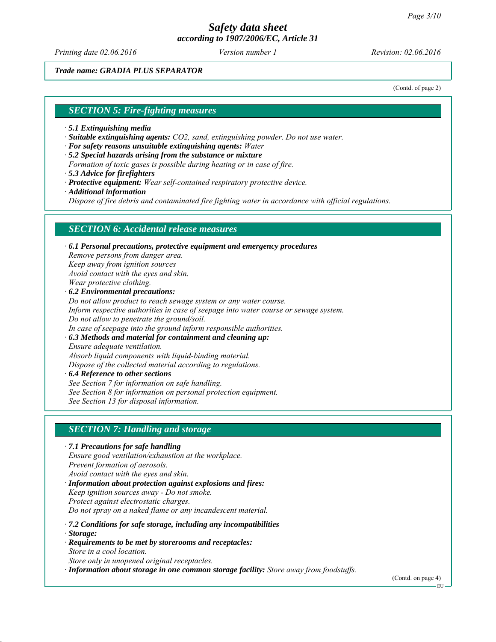*Printing date 02.06.2016 Revision: 02.06.2016 Version number 1*

#### *Trade name: GRADIA PLUS SEPARATOR*

(Contd. of page 2)

#### *SECTION 5: Fire-fighting measures*

- *∙ 5.1 Extinguishing media*
- *∙ Suitable extinguishing agents: CO2, sand, extinguishing powder. Do not use water.*
- *∙ For safety reasons unsuitable extinguishing agents: Water*
- *∙ 5.2 Special hazards arising from the substance or mixture*
- *Formation of toxic gases is possible during heating or in case of fire.*
- *∙ 5.3 Advice for firefighters*
- *∙ Protective equipment: Wear self-contained respiratory protective device.*
- *∙ Additional information*

*Dispose of fire debris and contaminated fire fighting water in accordance with official regulations.*

# *SECTION 6: Accidental release measures*

*∙ 6.1 Personal precautions, protective equipment and emergency procedures Remove persons from danger area. Keep away from ignition sources Avoid contact with the eyes and skin. Wear protective clothing. ∙ 6.2 Environmental precautions: Do not allow product to reach sewage system or any water course. Inform respective authorities in case of seepage into water course or sewage system. Do not allow to penetrate the ground/soil. In case of seepage into the ground inform responsible authorities. ∙ 6.3 Methods and material for containment and cleaning up: Ensure adequate ventilation. Absorb liquid components with liquid-binding material. Dispose of the collected material according to regulations.*

*∙ 6.4 Reference to other sections See Section 7 for information on safe handling. See Section 8 for information on personal protection equipment. See Section 13 for disposal information.*

#### *SECTION 7: Handling and storage*

*∙ 7.1 Precautions for safe handling Ensure good ventilation/exhaustion at the workplace. Prevent formation of aerosols. Avoid contact with the eyes and skin. ∙ Information about protection against explosions and fires:*

*Keep ignition sources away - Do not smoke. Protect against electrostatic charges. Do not spray on a naked flame or any incandescent material.*

*∙ 7.2 Conditions for safe storage, including any incompatibilities ∙ Storage:*

- *∙ Requirements to be met by storerooms and receptacles: Store in a cool location.*
- *Store only in unopened original receptacles.*

*∙ Information about storage in one common storage facility: Store away from foodstuffs.*

(Contd. on page 4)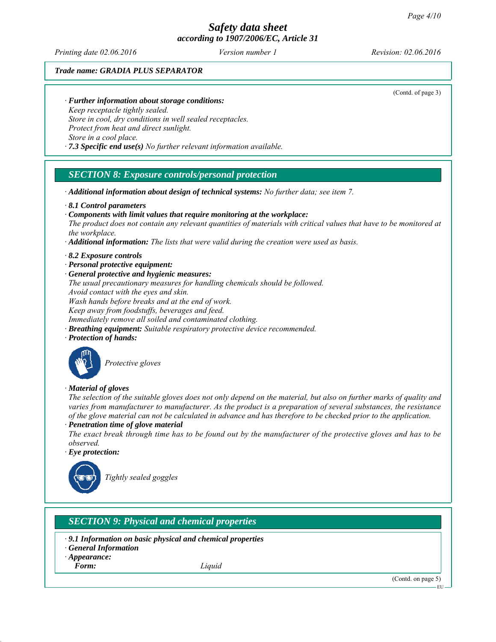*Printing date 02.06.2016 Revision: 02.06.2016 Version number 1*

#### *Trade name: GRADIA PLUS SEPARATOR*

(Contd. of page 3)

#### *∙ Further information about storage conditions:*

*Keep receptacle tightly sealed. Store in cool, dry conditions in well sealed receptacles. Protect from heat and direct sunlight. Store in a cool place.*

*∙ 7.3 Specific end use(s) No further relevant information available.*

## *SECTION 8: Exposure controls/personal protection*

*∙ Additional information about design of technical systems: No further data; see item 7.*

#### *∙ 8.1 Control parameters*

*∙ Components with limit values that require monitoring at the workplace:*

*The product does not contain any relevant quantities of materials with critical values that have to be monitored at the workplace.*

- *∙ Additional information: The lists that were valid during the creation were used as basis.*
- *∙ 8.2 Exposure controls*
- *∙ Personal protective equipment:*
- *∙ General protective and hygienic measures:*

*The usual precautionary measures for handling chemicals should be followed.*

*Avoid contact with the eyes and skin.*

*Wash hands before breaks and at the end of work.*

*Keep away from foodstuffs, beverages and feed.*

*Immediately remove all soiled and contaminated clothing.*

*∙ Breathing equipment: Suitable respiratory protective device recommended.*

*∙ Protection of hands:*



*Protective gloves*

#### *∙ Material of gloves*

*The selection of the suitable gloves does not only depend on the material, but also on further marks of quality and varies from manufacturer to manufacturer. As the product is a preparation of several substances, the resistance of the glove material can not be calculated in advance and has therefore to be checked prior to the application.*

*∙ Penetration time of glove material*

*The exact break through time has to be found out by the manufacturer of the protective gloves and has to be observed.*

*∙ Eye protection:*



*Tightly sealed goggles*

# *SECTION 9: Physical and chemical properties*

- *∙ 9.1 Information on basic physical and chemical properties*
- *∙ General Information*
- *∙ Appearance:*

*Form: Liquid*

(Contd. on page 5)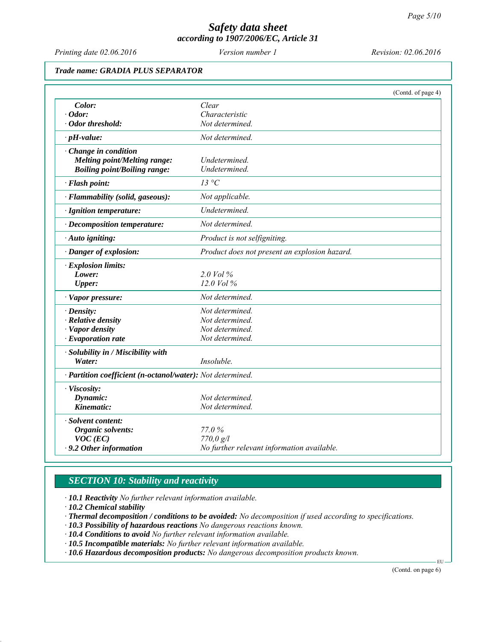*Printing date 02.06.2016 Revision: 02.06.2016 Version number 1*

#### *Trade name: GRADIA PLUS SEPARATOR*

|                                                            | (Contd. of page 4)                            |  |
|------------------------------------------------------------|-----------------------------------------------|--|
| Color:                                                     | Clear                                         |  |
| $\cdot$ Odor:                                              | Characteristic                                |  |
| · Odor threshold:                                          | Not determined.                               |  |
| $\cdot$ pH-value:                                          | Not determined.                               |  |
| Change in condition                                        |                                               |  |
| <b>Melting point/Melting range:</b>                        | Undetermined.                                 |  |
| <b>Boiling point/Boiling range:</b>                        | Undetermined.                                 |  |
| · Flash point:                                             | 13 °C                                         |  |
| · Flammability (solid, gaseous):                           | Not applicable.                               |  |
| · Ignition temperature:                                    | Undetermined.                                 |  |
| $\cdot$ Decomposition temperature:                         | Not determined.                               |  |
| · Auto igniting:                                           | Product is not selfigniting.                  |  |
| · Danger of explosion:                                     | Product does not present an explosion hazard. |  |
| $\cdot$ Explosion limits:                                  |                                               |  |
| Lower:                                                     | $2.0$ Vol $\%$                                |  |
| <b>Upper:</b>                                              | 12.0 Vol %                                    |  |
| · Vapor pressure:                                          | Not determined.                               |  |
| $\cdot$ Density:                                           | Not determined.                               |  |
| $\cdot$ Relative density                                   | Not determined.                               |  |
| · Vapor density                                            | Not determined.                               |  |
| $\cdot$ Evaporation rate                                   | Not determined.                               |  |
| Solubility in / Miscibility with                           |                                               |  |
| Water:                                                     | Insoluble.                                    |  |
| · Partition coefficient (n-octanol/water): Not determined. |                                               |  |
| · Viscosity:                                               |                                               |  |
| Dynamic:                                                   | Not determined.                               |  |
| Kinematic:                                                 | Not determined.                               |  |
| · Solvent content:                                         |                                               |  |
| Organic solvents:                                          | 77.0%                                         |  |
| $VOC$ (EC)                                                 | 770,0 g/l                                     |  |
| $\cdot$ 9.2 Other information                              | No further relevant information available.    |  |

# *SECTION 10: Stability and reactivity*

*∙ 10.1 Reactivity No further relevant information available.*

*∙ 10.2 Chemical stability*

*∙ Thermal decomposition / conditions to be avoided: No decomposition if used according to specifications.*

*∙ 10.3 Possibility of hazardous reactions No dangerous reactions known.*

*∙ 10.4 Conditions to avoid No further relevant information available.*

*∙ 10.5 Incompatible materials: No further relevant information available.*

*∙ 10.6 Hazardous decomposition products: No dangerous decomposition products known.*

(Contd. on page 6)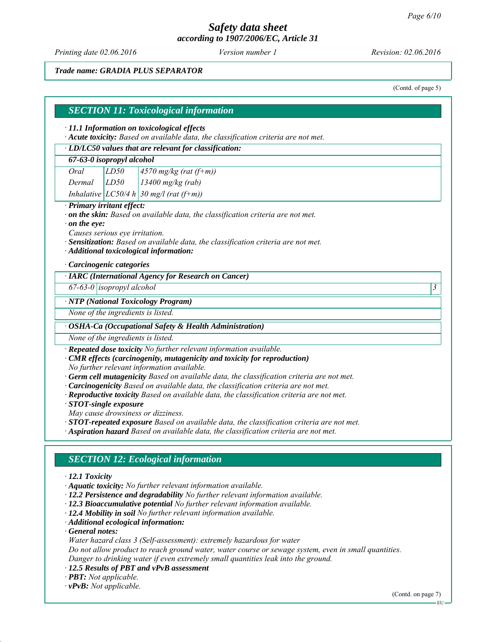*Printing date 02.06.2016 Revision: 02.06.2016 Version number 1*

*Trade name: GRADIA PLUS SEPARATOR*

(Contd. of page 5)

# *SECTION 11: Toxicological information ∙ 11.1 Information on toxicological effects ∙ Acute toxicity: Based on available data, the classification criteria are not met. ∙ LD/LC50 values that are relevant for classification: 67-63-0 isopropyl alcohol Oral LD50 4570 mg/kg (rat (f+m)) Dermal LD50 13400 mg/kg (rab) Inhalative LC50/4 h 30 mg/l (rat (f+m)) ∙ Primary irritant effect: ∙ on the skin: Based on available data, the classification criteria are not met. ∙ on the eye: Causes serious eye irritation. ∙ Sensitization: Based on available data, the classification criteria are not met. ∙ Additional toxicological information: ∙ Carcinogenic categories ∙ IARC (International Agency for Research on Cancer) 67-63-0 isopropyl alcohol 3 ∙ NTP (National Toxicology Program) None of the ingredients is listed. ∙ OSHA-Ca (Occupational Safety & Health Administration) None of the ingredients is listed. ∙ Repeated dose toxicity No further relevant information available. ∙ CMR effects (carcinogenity, mutagenicity and toxicity for reproduction) No further relevant information available. ∙ Germ cell mutagenicity Based on available data, the classification criteria are not met. ∙ Carcinogenicity Based on available data, the classification criteria are not met. ∙ Reproductive toxicity Based on available data, the classification criteria are not met. ∙ STOT-single exposure May cause drowsiness or dizziness. ∙ STOT-repeated exposure Based on available data, the classification criteria are not met. ∙ Aspiration hazard Based on available data, the classification criteria are not met. SECTION 12: Ecological information*

#### *∙ 12.1 Toxicity*

*∙ Aquatic toxicity: No further relevant information available.*

*∙ 12.2 Persistence and degradability No further relevant information available.*

*∙ 12.3 Bioaccumulative potential No further relevant information available.*

*∙ 12.4 Mobility in soil No further relevant information available.*

*∙ Additional ecological information:*

*∙ General notes:*

*Water hazard class 3 (Self-assessment): extremely hazardous for water*

*Do not allow product to reach ground water, water course or sewage system, even in small quantities. Danger to drinking water if even extremely small quantities leak into the ground.*

*∙ 12.5 Results of PBT and vPvB assessment*

*∙ PBT: Not applicable.*

*∙ vPvB: Not applicable.*

(Contd. on page 7)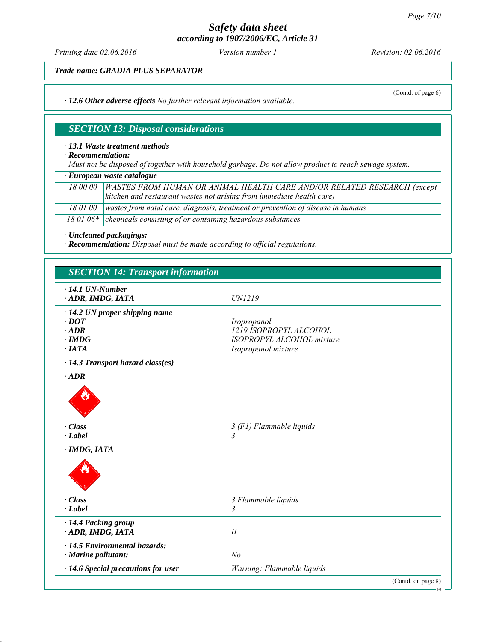*Printing date 02.06.2016 Revision: 02.06.2016 Version number 1*

(Contd. of page 6)

*Trade name: GRADIA PLUS SEPARATOR*

*∙ 12.6 Other adverse effects No further relevant information available.*

# *SECTION 13: Disposal considerations*

#### *∙ 13.1 Waste treatment methods*

*∙ Recommendation:*

*Must not be disposed of together with household garbage. Do not allow product to reach sewage system.*

*∙ European waste catalogue*

| 18 00 00   WASTES FROM HUMAN OR ANIMAL HEALTH CARE AND/OR RELATED RESEARCH (except         |
|--------------------------------------------------------------------------------------------|
| kitchen and restaurant wastes not arising from immediate health care)                      |
| 18 01 00   wastes from natal care, diagnosis, treatment or prevention of disease in humans |
| 18 01 06* chemicals consisting of or containing hazardous substances                       |

*∙ Uncleaned packagings:*

*∙ Recommendation: Disposal must be made according to official regulations.*

| $\cdot$ 14.1 UN-Number                    |                                                  |  |
|-------------------------------------------|--------------------------------------------------|--|
| ADR, IMDG, IATA                           | UN1219                                           |  |
| $\cdot$ 14.2 UN proper shipping name      |                                                  |  |
| $\cdot$ DOT                               | Isopropanol                                      |  |
| $\cdot$ ADR<br>$\cdot$ IMDG               | 1219 ISOPROPYL ALCOHOL                           |  |
| $\cdot$ IATA                              | ISOPROPYL ALCOHOL mixture<br>Isopropanol mixture |  |
|                                           |                                                  |  |
| $\cdot$ 14.3 Transport hazard class(es)   |                                                  |  |
| $\cdot$ <i>ADR</i>                        |                                                  |  |
|                                           |                                                  |  |
| · Class                                   | 3 (F1) Flammable liquids                         |  |
| $\cdot$ Label                             | $\mathfrak{Z}$                                   |  |
| $\cdot$ IMDG, IATA                        |                                                  |  |
|                                           |                                                  |  |
| · Class                                   | 3 Flammable liquids                              |  |
| $\cdot$ Label                             | 3                                                |  |
| · 14.4 Packing group                      |                                                  |  |
| ADR, IMDG, IATA                           | $I\!I$                                           |  |
| · 14.5 Environmental hazards:             |                                                  |  |
| $\cdot$ Marine pollutant:                 | N <sub>o</sub>                                   |  |
| $\cdot$ 14.6 Special precautions for user | Warning: Flammable liquids                       |  |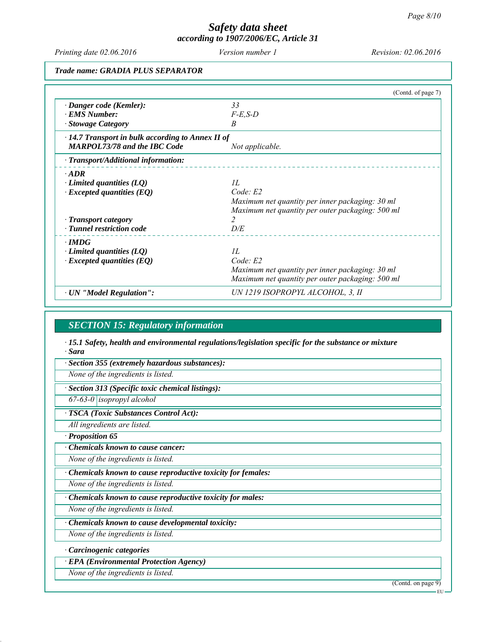*Printing date 02.06.2016 Revision: 02.06.2016 Version number 1*

#### *Trade name: GRADIA PLUS SEPARATOR*

|                                                         | (Contd. of page 7)                               |
|---------------------------------------------------------|--------------------------------------------------|
| · Danger code (Kemler):                                 | 33                                               |
| · EMS Number:                                           | $F-E$ , $S-D$                                    |
| · Stowage Category                                      | B                                                |
| $\cdot$ 14.7 Transport in bulk according to Annex II of |                                                  |
| <b>MARPOL73/78 and the IBC Code</b>                     | Not applicable.                                  |
| · Transport/Additional information:                     |                                                  |
| $\cdot$ ADR                                             |                                                  |
| $\cdot$ Limited quantities (LQ)                         | IL                                               |
| $\cdot$ Excepted quantities (EQ)                        | Code: E2                                         |
|                                                         | Maximum net quantity per inner packaging: 30 ml  |
|                                                         | Maximum net quantity per outer packaging: 500 ml |
| · Transport category                                    | 2                                                |
| · Tunnel restriction code                               | D/E                                              |
| $\cdot$ IMDG                                            |                                                  |
| $\cdot$ Limited quantities (LQ)                         | IL                                               |
| $\cdot$ Excepted quantities (EQ)                        | Code: E2                                         |
|                                                         | Maximum net quantity per inner packaging: 30 ml  |
|                                                         | Maximum net quantity per outer packaging: 500 ml |
| · UN "Model Regulation":                                | UN 1219 ISOPROPYL ALCOHOL, 3, II                 |

#### *SECTION 15: Regulatory information*

*∙ 15.1 Safety, health and environmental regulations/legislation specific for the substance or mixture ∙ Sara*

*∙ Section 355 (extremely hazardous substances):*

*None of the ingredients is listed.*

*∙ Section 313 (Specific toxic chemical listings):*

*67-63-0 isopropyl alcohol*

*∙ TSCA (Toxic Substances Control Act):*

*All ingredients are listed.*

*∙ Proposition 65*

*∙ Chemicals known to cause cancer:*

*None of the ingredients is listed.*

*∙ Chemicals known to cause reproductive toxicity for females:*

*None of the ingredients is listed.*

*∙ Chemicals known to cause reproductive toxicity for males:*

*None of the ingredients is listed.*

*∙ Chemicals known to cause developmental toxicity:*

*None of the ingredients is listed.*

*∙ Carcinogenic categories*

*∙ EPA (Environmental Protection Agency)*

*None of the ingredients is listed.*

(Contd. on page 9)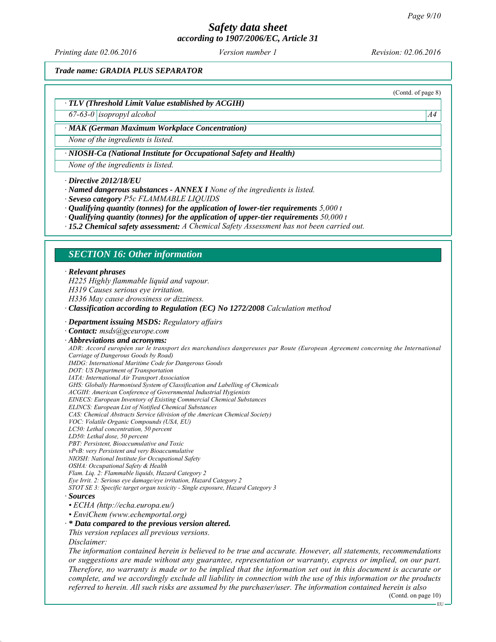# *Safety data sheet*

*according to 1907/2006/EC, Article 31*

*Printing date 02.06.2016 Revision: 02.06.2016 Version number 1*

(Contd. of page 8)

*Trade name: GRADIA PLUS SEPARATOR*

#### *∙ TLV (Threshold Limit Value established by ACGIH)*

*67-63-0 isopropyl alcohol A4*

#### *∙ MAK (German Maximum Workplace Concentration)*

*None of the ingredients is listed.*

#### *∙ NIOSH-Ca (National Institute for Occupational Safety and Health)*

*None of the ingredients is listed.*

#### *∙ Directive 2012/18/EU*

*∙ Named dangerous substances - ANNEX I None of the ingredients is listed.*

- *∙ Seveso category P5c FLAMMABLE LIQUIDS*
- *∙ Qualifying quantity (tonnes) for the application of lower-tier requirements 5,000 t*
- *∙ Qualifying quantity (tonnes) for the application of upper-tier requirements 50,000 t*
- *∙ 15.2 Chemical safety assessment: A Chemical Safety Assessment has not been carried out.*

#### *SECTION 16: Other information*

#### *∙ Relevant phrases*

*H225 Highly flammable liquid and vapour.*

- *H319 Causes serious eye irritation.*
- *H336 May cause drowsiness or dizziness.*
- *∙ Classification according to Regulation (EC) No 1272/2008 Calculation method*
- *∙ Department issuing MSDS: Regulatory affairs*
- *∙ Contact: msds@gceurope.com*

#### *∙ Abbreviations and acronyms:*

*ADR: Accord européen sur le transport des marchandises dangereuses par Route (European Agreement concerning the International Carriage of Dangerous Goods by Road)*

- *IMDG: International Maritime Code for Dangerous Goods*
- *DOT: US Department of Transportation*
- *IATA: International Air Transport Association GHS: Globally Harmonised System of Classification and Labelling of Chemicals*
- *ACGIH: American Conference of Governmental Industrial Hygienists*
- *EINECS: European Inventory of Existing Commercial Chemical Substances*
- *ELINCS: European List of Notified Chemical Substances*
- *CAS: Chemical Abstracts Service (division of the American Chemical Society)*
- *VOC: Volatile Organic Compounds (USA, EU)*
- *LC50: Lethal concentration, 50 percent*
- *LD50: Lethal dose, 50 percent*
- *PBT: Persistent, Bioaccumulative and Toxic*
- *vPvB: very Persistent and very Bioaccumulative NIOSH: National Institute for Occupational Safety*
- *OSHA: Occupational Safety & Health*
- *Flam. Liq. 2: Flammable liquids, Hazard Category 2*
- *Eye Irrit. 2: Serious eye damage/eye irritation, Hazard Category 2*
- *STOT SE 3: Specific target organ toxicity Single exposure, Hazard Category 3*
- *∙ Sources*
- *ECHA (http://echa.europa.eu/)*
- *EnviChem (www.echemportal.org)*
- *∙ \* Data compared to the previous version altered.*
- *This version replaces all previous versions.*
- *Disclaimer:*

*The information contained herein is believed to be true and accurate. However, all statements, recommendations or suggestions are made without any guarantee, representation or warranty, express or implied, on our part. Therefore, no warranty is made or to be implied that the information set out in this document is accurate or complete, and we accordingly exclude all liability in connection with the use of this information or the products referred to herein. All such risks are assumed by the purchaser/user. The information contained herein is also*

<sup>(</sup>Contd. on page 10)